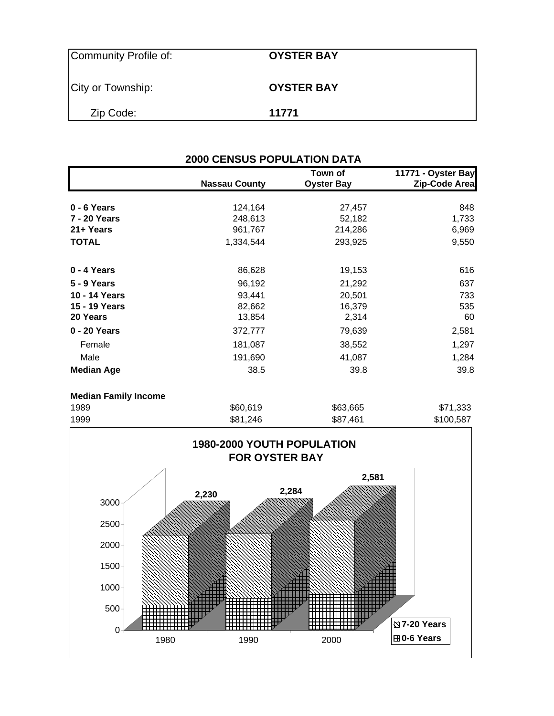| Community Profile of: | <b>OYSTER BAY</b> |
|-----------------------|-------------------|
| City or Township:     | <b>OYSTER BAY</b> |
| Zip Code:             | 11771             |

|                   | <b>Nassau County</b> | Town of<br><b>Oyster Bay</b> | 11771 - Oyster Bay<br>Zip-Code Area |
|-------------------|----------------------|------------------------------|-------------------------------------|
|                   |                      |                              |                                     |
| $0 - 6$ Years     | 124,164              | 27,457                       | 848                                 |
| 7 - 20 Years      | 248,613              | 52,182                       | 1,733                               |
| 21+ Years         | 961,767              | 214,286                      | 6,969                               |
| <b>TOTAL</b>      | 1,334,544            | 293,925                      | 9,550                               |
| 0 - 4 Years       | 86,628               | 19,153                       | 616                                 |
| 5 - 9 Years       | 96,192               | 21,292                       | 637                                 |
| 10 - 14 Years     | 93,441               | 20,501                       | 733                                 |
| 15 - 19 Years     | 82,662               | 16,379                       | 535                                 |
| 20 Years          | 13,854               | 2,314                        | 60                                  |
| 0 - 20 Years      | 372,777              | 79,639                       | 2,581                               |
| Female            | 181,087              | 38,552                       | 1,297                               |
| Male              | 191,690              | 41,087                       | 1,284                               |
| <b>Median Age</b> | 38.5                 | 39.8                         | 39.8                                |

#### **Median Family Income**

| 1999 | \$81,246 | \$87,461 | \$100,587 |
|------|----------|----------|-----------|
| 1989 | \$60,619 | \$63,665 | \$71,333  |
|      |          |          |           |

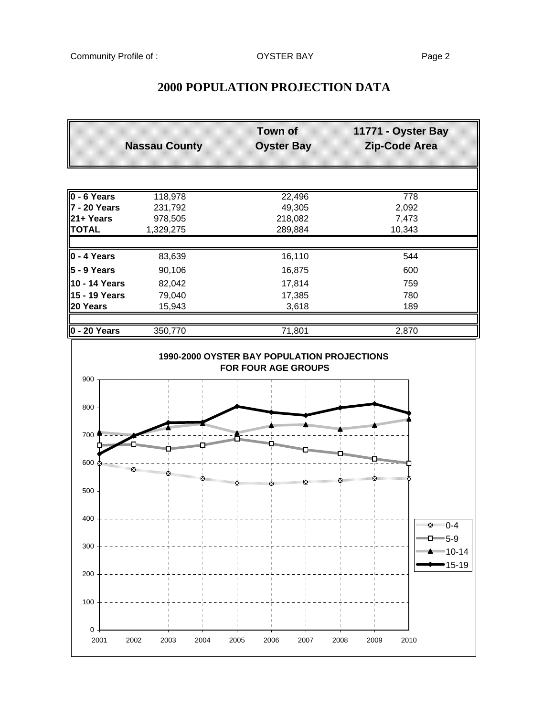# **Town of 11771 - Oyster Bay Nassau County Construmed Bay Area Rip-Code Area 0 - 6 Years** 118,978 22,496 778 **7 - 20 Years** 231,792 49,305 2,092 **21+ Years** 978,505 218,082 7,473 **TOTAL** 1,329,275 289,884 10,343 **0 - 4 Years** 83,639 16,110 544 **5 - 9 Years** 90,106 **16,875** 600 **10 - 14 Years** 82,042 17,814 759 **15 - 19 Years** 79,040 17,385 780 **20 Years** 15,943 3,618 3,618 **0 - 20 Years** 350,770 71,801 2,870 **1990-2000 OYSTER BAY POPULATION PROJECTIONS FOR FOUR AGE GROUPS**  $0 -$ 100 200 300 400 500 600 700 800 900 2001 2002 2003 2004 2005 2006 2007 2008 2009 2010 ซััััั∪-4  $-5-9$ 10-14 15-19

### **2000 POPULATION PROJECTION DATA**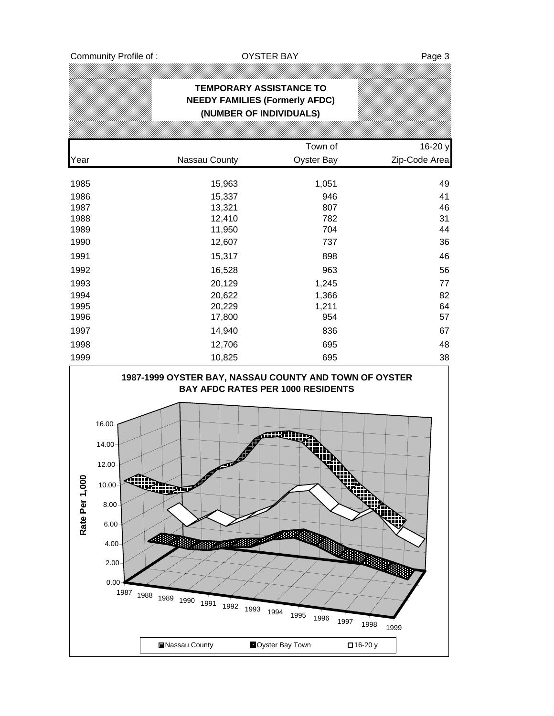|      | <b>TEMPORARY ASSISTANCE TO</b><br><b>NEEDY FAMILIES (Formerly AFDC)</b><br>(NUMBER OF INDIVIDUALS) |                   |               |
|------|----------------------------------------------------------------------------------------------------|-------------------|---------------|
|      |                                                                                                    |                   |               |
|      |                                                                                                    | Town of           | 16-20 y       |
| Year | Nassau County                                                                                      | <b>Oyster Bay</b> | Zip-Code Area |
| 1985 | 15,963                                                                                             | 1,051             | 49            |
| 1986 | 15,337                                                                                             | 946               | 41            |
| 1987 | 13,321                                                                                             | 807               | 46            |
| 1988 | 12,410                                                                                             | 782               | 31            |
| 1989 | 11,950                                                                                             | 704               | 44            |
| 1990 | 12,607                                                                                             | 737               | 36            |
| 1991 | 15,317                                                                                             | 898               | 46            |
| 1992 | 16,528                                                                                             | 963               | 56            |
| 1993 | 20,129                                                                                             | 1,245             | 77            |
| 1994 | 20,622                                                                                             | 1,366             | 82            |
| 1995 | 20,229                                                                                             | 1,211             | 64            |
| 1996 | 17,800                                                                                             | 954               | 57            |
| 1997 | 14,940                                                                                             | 836               | 67            |
| 1998 | 12,706                                                                                             | 695               | 48            |
| 1999 | 10,825                                                                                             | 695               | 38            |

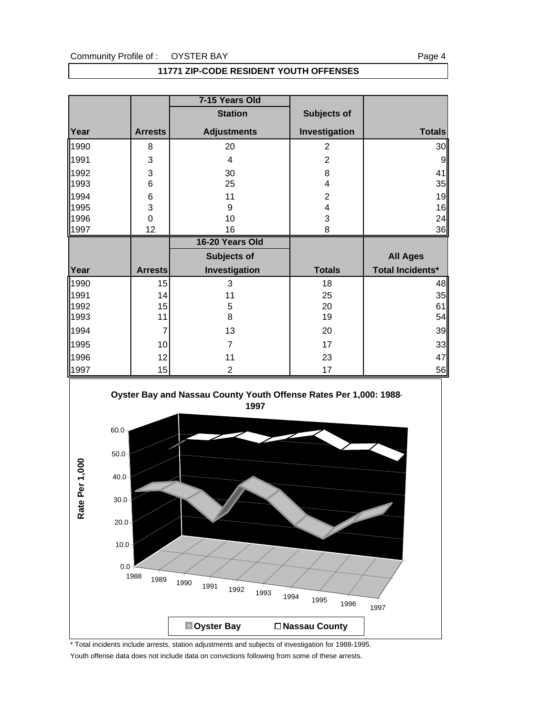| <b>11771 ZIP-CODE RESIDENT YOUTH OFFENSES</b> |
|-----------------------------------------------|
|-----------------------------------------------|

|              |                | 7-15 Years Old     |                |                         |
|--------------|----------------|--------------------|----------------|-------------------------|
|              |                | <b>Station</b>     | Subjects of    |                         |
| Year         | <b>Arrests</b> | <b>Adjustments</b> | Investigation  | <b>Totals</b>           |
| 1990         | 8              | 20                 | $\overline{2}$ | 30                      |
| 1991         | 3              | 4                  | $\overline{2}$ | 9                       |
| 1992         | 3              | 30                 | 8              | 41                      |
| 1993         | 6              | 25                 | 4              | 35                      |
| 1994         | 6              | 11                 | $\overline{2}$ | 19                      |
| 1995         | 3              | 9                  | 4              | 16                      |
| 1996         | $\mathbf 0$    | 10                 | 3              | 24                      |
| 1997         | 12             | 16                 | 8              | 36                      |
|              |                | 16-20 Years Old    |                |                         |
|              |                | Subjects of        |                | <b>All Ages</b>         |
| Year         | <b>Arrests</b> | Investigation      |                |                         |
|              |                |                    | <b>Totals</b>  | <b>Total Incidents*</b> |
| 1990         | 15             | 3                  | 18             | 48                      |
| 1991         | 14             | 11                 | 25             | 35                      |
| 1992         | 15             | 5                  | 20             | 61                      |
| 1993         | 11             | 8                  | 19             | 54                      |
| 1994         | 7              | 13                 | 20             | 39                      |
| 1995         | 10             | 7                  | 17             | 33                      |
| 1996<br>1997 | 12             | 11                 | 23             | 47                      |



\* Total incidents include arrests, station adjustments and subjects of investigation for 1988-1995. Youth offense data does not include data on convictions following from some of these arrests.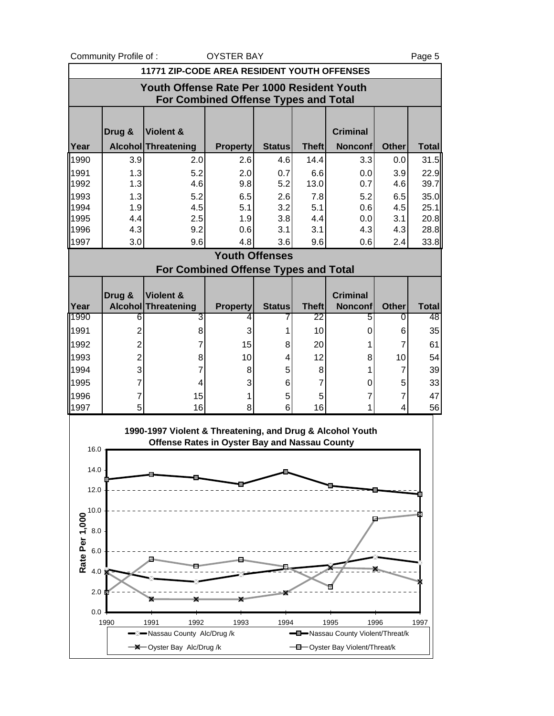Community Profile of : CONSTER BAY THE STATE OF STATE RAY Rage 5

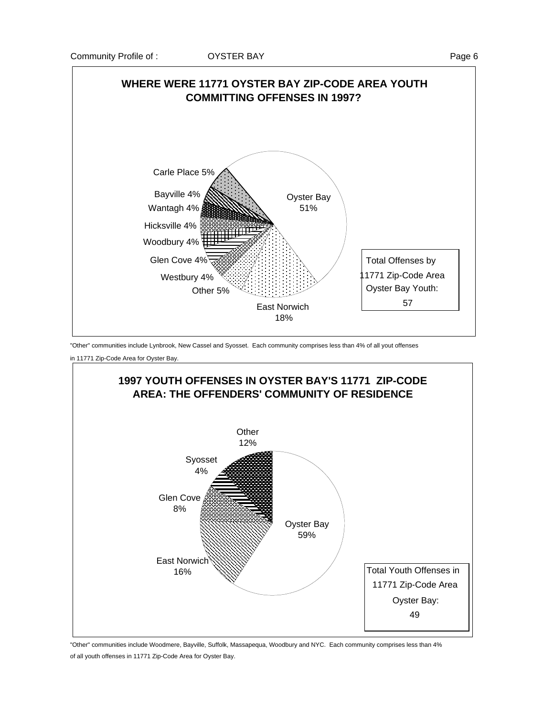

"Other" communities include Lynbrook, New Cassel and Syosset. Each community comprises less than 4% of all yout offenses

in 11771 Zip-Code Area for Oyster Bay.



"Other" communities include Woodmere, Bayville, Suffolk, Massapequa, Woodbury and NYC. Each community comprises less than 4% of all youth offenses in 11771 Zip-Code Area for Oyster Bay.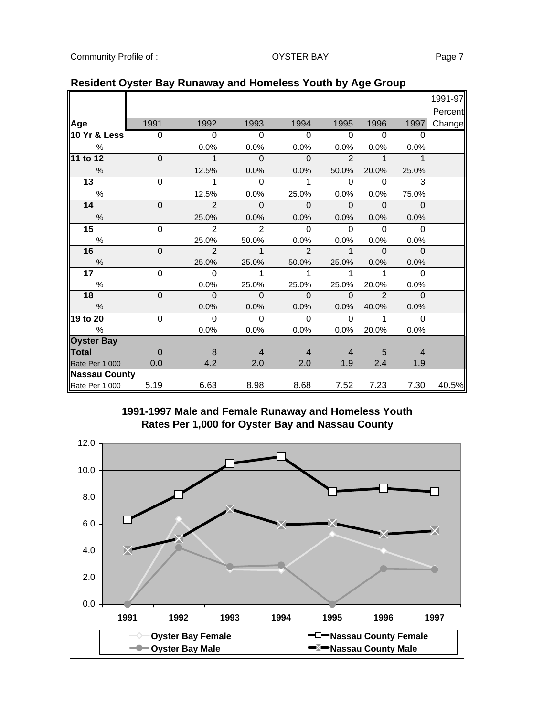|                      |                |                |                |                |                          |               |                | 1991-97 |
|----------------------|----------------|----------------|----------------|----------------|--------------------------|---------------|----------------|---------|
|                      |                |                |                |                |                          |               |                | Percent |
| Age                  | 1991           | 1992           | 1993           | 1994           | 1995                     | 1996          | 1997           | Change  |
| 10 Yr & Less         | $\overline{0}$ | $\Omega$       | $\Omega$       | $\Omega$       | $\Omega$                 | $\Omega$      | $\Omega$       |         |
| $\frac{0}{0}$        |                | 0.0%           | 0.0%           | 0.0%           | 0.0%                     | 0.0%          | 0.0%           |         |
| 11 to 12             | $\Omega$       | $\overline{1}$ | $\mathbf{0}$   | $\Omega$       | $\mathcal{P}$            | $\mathbf{1}$  | $\mathbf{1}$   |         |
| $\%$                 |                | 12.5%          | 0.0%           | 0.0%           | 50.0%                    | 20.0%         | 25.0%          |         |
| $\overline{13}$      | $\overline{0}$ | 1              | $\mathbf 0$    | 1              | $\mathbf 0$              | $\Omega$      | 3              |         |
| $\%$                 |                | 12.5%          | 0.0%           | 25.0%          | 0.0%                     | 0.0%          | 75.0%          |         |
| 14                   | $\mathbf 0$    | $\overline{2}$ | $\mathbf{0}$   | $\mathbf 0$    | $\overline{\phantom{0}}$ | $\Omega$      | $\mathbf 0$    |         |
| $\frac{0}{6}$        |                | 25.0%          | 0.0%           | 0.0%           | 0.0%                     | 0.0%          | 0.0%           |         |
| 15                   | $\overline{0}$ | $\overline{2}$ | $\overline{2}$ | $\Omega$       | $\Omega$                 | $\Omega$      | $\Omega$       |         |
| %                    |                | 25.0%          | 50.0%          | 0.0%           | 0.0%                     | 0.0%          | 0.0%           |         |
| 16                   | $\overline{0}$ | $\overline{2}$ | $\mathbf{1}$   | $\overline{2}$ | $\mathbf{1}$             | $\Omega$      | $\Omega$       |         |
| $\frac{0}{0}$        |                | 25.0%          | 25.0%          | 50.0%          | 25.0%                    | 0.0%          | 0.0%           |         |
| 17                   | $\Omega$       | $\Omega$       | 1              | 1              | 1                        | 1             | $\Omega$       |         |
| $\frac{0}{0}$        |                | 0.0%           | 25.0%          | 25.0%          | 25.0%                    | 20.0%         | 0.0%           |         |
| 18                   | $\mathbf 0$    | $\overline{0}$ | $\Omega$       | $\mathbf 0$    | $\overline{0}$           | $\mathcal{P}$ | $\mathbf 0$    |         |
| $\%$                 |                | 0.0%           | 0.0%           | 0.0%           | 0.0%                     | 40.0%         | 0.0%           |         |
| 19 to 20             | $\mathbf 0$    | $\Omega$       | $\mathbf 0$    | $\mathbf 0$    | $\Omega$                 | 1             | $\Omega$       |         |
| $\%$                 |                | 0.0%           | 0.0%           | 0.0%           | 0.0%                     | 20.0%         | 0.0%           |         |
| <b>Oyster Bay</b>    |                |                |                |                |                          |               |                |         |
| <b>Total</b>         | $\Omega$       | 8              | $\overline{4}$ | $\overline{4}$ | 4                        | 5             | $\overline{4}$ |         |
| Rate Per 1,000       | 0.0            | 4.2            | 2.0            | 2.0            | 1.9                      | 2.4           | 1.9            |         |
| <b>Nassau County</b> |                |                |                |                |                          |               |                |         |
| Rate Per 1,000       | 5.19           | 6.63           | 8.98           | 8.68           | 7.52                     | 7.23          | 7.30           | 40.5%   |

#### **Resident Oyster Bay Runaway and Homeless Youth by Age Group**

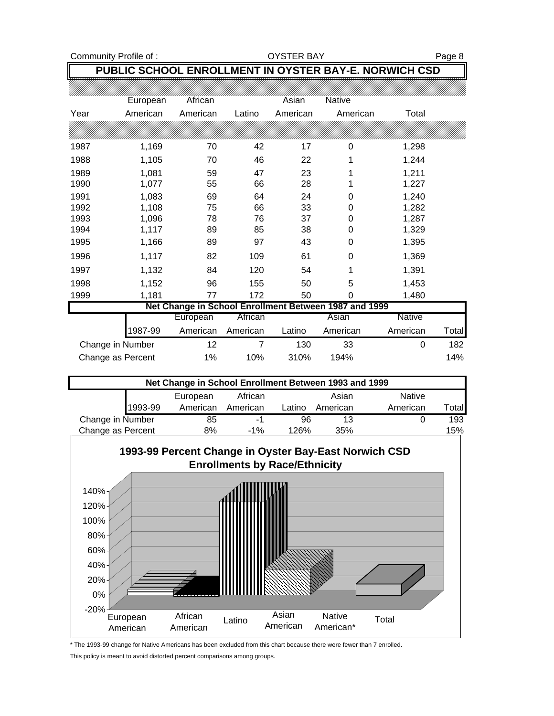Community Profile of : Community Profile of : Community Profile of : Community Profile of :

#### **PUBLIC SCHOOL ENROLLMENT IN OYSTER BAY-E. NORWICH CSD**

|                   | European | African  |          | Asian    | Native                                                |          |       |
|-------------------|----------|----------|----------|----------|-------------------------------------------------------|----------|-------|
| Year              | American | American | Latino   | American | American                                              | Total    |       |
|                   |          |          |          |          |                                                       |          |       |
| 1987              | 1,169    | 70       | 42       | 17       | 0                                                     | 1,298    |       |
| 1988              | 1,105    | 70       | 46       | 22       |                                                       | 1,244    |       |
| 1989              | 1,081    | 59       | 47       | 23       |                                                       | 1,211    |       |
| 1990              | 1,077    | 55       | 66       | 28       |                                                       | 1,227    |       |
| 1991              | 1,083    | 69       | 64       | 24       | 0                                                     | 1,240    |       |
| 1992              | 1,108    | 75       | 66       | 33       | 0                                                     | 1,282    |       |
| 1993              | 1,096    | 78       | 76       | 37       | 0                                                     | 1,287    |       |
| 1994              | 1,117    | 89       | 85       | 38       | 0                                                     | 1,329    |       |
| 1995              | 1,166    | 89       | 97       | 43       | 0                                                     | 1,395    |       |
| 1996              | 1,117    | 82       | 109      | 61       | 0                                                     | 1,369    |       |
| 1997              | 1,132    | 84       | 120      | 54       | 1                                                     | 1,391    |       |
| 1998              | 1,152    | 96       | 155      | 50       | 5                                                     | 1,453    |       |
| 1999              | 1,181    | 77       | 172      | 50       | 0                                                     | 1,480    |       |
|                   |          |          |          |          | Net Change in School Enrollment Between 1987 and 1999 |          |       |
|                   |          | European | African  |          | Asian                                                 | Native   |       |
|                   | 1987-99  | American | American | Latino   | American                                              | American | Total |
| Change in Number  |          | 12       | 7        | 130      | 33                                                    | 0        | 182   |
| Change as Percent |          | 1%       | 10%      | 310%     | 194%                                                  |          | 14%   |

| Net Change in School Enrollment Between 1993 and 1999 |         |          |          |        |          |               |       |
|-------------------------------------------------------|---------|----------|----------|--------|----------|---------------|-------|
|                                                       |         | European | African  |        | Asian    | <b>Native</b> |       |
|                                                       | 1993-99 | American | American | Latino | American | American      | Total |
| Change in Number                                      |         | 85       | -1       | 96     | 13       |               | 193   |
| Change as Percent                                     |         | 8%       | $-1\%$   | 126%   | 35%      |               | 15%   |



\* The 1993-99 change for Native Americans has been excluded from this chart because there were fewer than 7 enrolled. This policy is meant to avoid distorted percent comparisons among groups.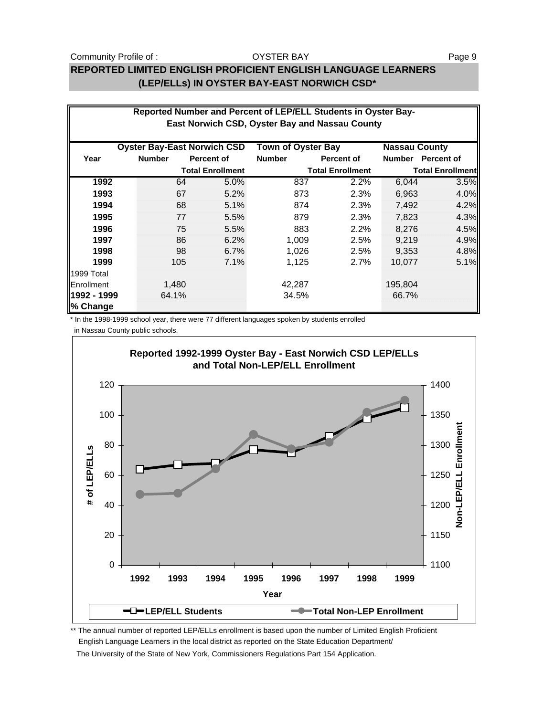Community Profile of : The Solution of Community Profile of : Page 9

#### **REPORTED LIMITED ENGLISH PROFICIENT ENGLISH LANGUAGE LEARNERS (LEP/ELLs) IN OYSTER BAY-EAST NORWICH CSD\***

|                         | Reported Number and Percent of LEP/ELL Students in Oyster Bay-<br>East Norwich CSD, Oyster Bay and Nassau County |                         |                                            |                         |                                       |                         |  |  |  |
|-------------------------|------------------------------------------------------------------------------------------------------------------|-------------------------|--------------------------------------------|-------------------------|---------------------------------------|-------------------------|--|--|--|
|                         |                                                                                                                  |                         |                                            |                         |                                       |                         |  |  |  |
| Year                    | <b>Oyster Bay-East Norwich CSD</b><br><b>Number</b>                                                              | <b>Percent of</b>       | <b>Town of Oyster Bay</b><br><b>Number</b> | <b>Percent of</b>       | <b>Nassau County</b><br><b>Number</b> | Percent of              |  |  |  |
|                         |                                                                                                                  | <b>Total Enrollment</b> |                                            | <b>Total Enrollment</b> |                                       | <b>Total Enrollment</b> |  |  |  |
| 1992                    | 64                                                                                                               | 5.0%                    | 837                                        | 2.2%                    | 6,044                                 | 3.5%                    |  |  |  |
| 1993                    | 67                                                                                                               | 5.2%                    | 873                                        | 2.3%                    | 6,963                                 | 4.0%                    |  |  |  |
| 1994                    | 68                                                                                                               | 5.1%                    | 874                                        | 2.3%                    | 7,492                                 | 4.2%                    |  |  |  |
| 1995                    | 77                                                                                                               | 5.5%                    | 879                                        | 2.3%                    | 7,823                                 | 4.3%                    |  |  |  |
| 1996                    | 75                                                                                                               | 5.5%                    | 883                                        | 2.2%                    | 8.276                                 | 4.5%                    |  |  |  |
| 1997                    | 86                                                                                                               | 6.2%                    | 1,009                                      | 2.5%                    | 9,219                                 | 4.9%                    |  |  |  |
| 1998                    | 98                                                                                                               | 6.7%                    | 1,026                                      | 2.5%                    | 9,353                                 | 4.8%                    |  |  |  |
| 1999                    | 105                                                                                                              | 7.1%                    | 1,125                                      | 2.7%                    | 10,077                                | 5.1%                    |  |  |  |
| 1999 Total              |                                                                                                                  |                         |                                            |                         |                                       |                         |  |  |  |
| Enrollment              | 1,480                                                                                                            |                         | 42,287                                     |                         | 195,804                               |                         |  |  |  |
| 1992 - 1999<br>% Change | 64.1%                                                                                                            |                         | 34.5%                                      |                         | 66.7%                                 |                         |  |  |  |

\* In the 1998-1999 school year, there were 77 different languages spoken by students enrolled

in Nassau County public schools.



\*\* The annual number of reported LEP/ELLs enrollment is based upon the number of Limited English Proficient English Language Learners in the local district as reported on the State Education Department/ The University of the State of New York, Commissioners Regulations Part 154 Application.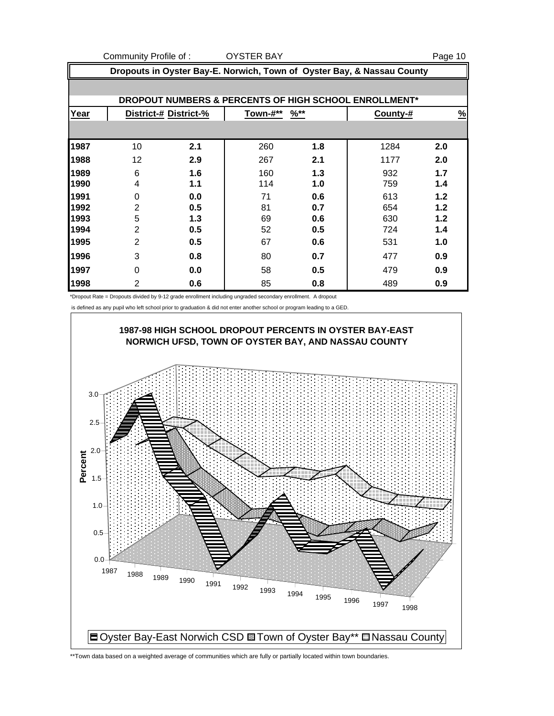Community Profile of : COYSTER BAY THE SERIES ON STREET AND RESPONSIVE THE SERIES OF STREET ASSAULT ASSAULT ASSAULT ASSAULT ASSAULT ASSAULT ASSAULT ASSAULT ASSAULT ASSAULT ASSAULT ASSAULT ASSAULT ASSAULT ASSAULT ASSAULT AS **Dropouts in Oyster Bay-E. Norwich, Town of Oyster Bay, & Nassau County DROPOUT NUMBERS & PERCENTS OF HIGH SCHOOL ENROLLMENT\* Year District-# District-% Town-#\*\* %\*\* County-# %** 10 **2.1** 260 **1.8** 1284 **2.0** 12 **2.9** 267 **2.1** 1177 **2.0** 6 **1.6** 160 **1.3** 932 **1.7** 4 **1.1** 114 **1.0** 759 **1.4** 0 **0.0** 71 **0.6** 613 **1.2** 2 **0.5** 81 **0.7** 654 **1.2** 5 **1.3** 69 **0.6** 630 **1.2** 2 **0.5** 52 **0.5** 724 **1.4** 2 **0.5** 67 **0.6** 531 **1.0** 3 **0.8** 80 **0.7** 477 **0.9** 0 **0.0** 58 **0.5** 479 **0.9** 2 **0.6** 85 **0.8** 489 **0.9**

\*Dropout Rate = Dropouts divided by 9-12 grade enrollment including ungraded secondary enrollment. A dropout

is defined as any pupil who left school prior to graduation & did not enter another school or program leading to a GED.



\*\*Town data based on a weighted average of communities which are fully or partially located within town boundaries.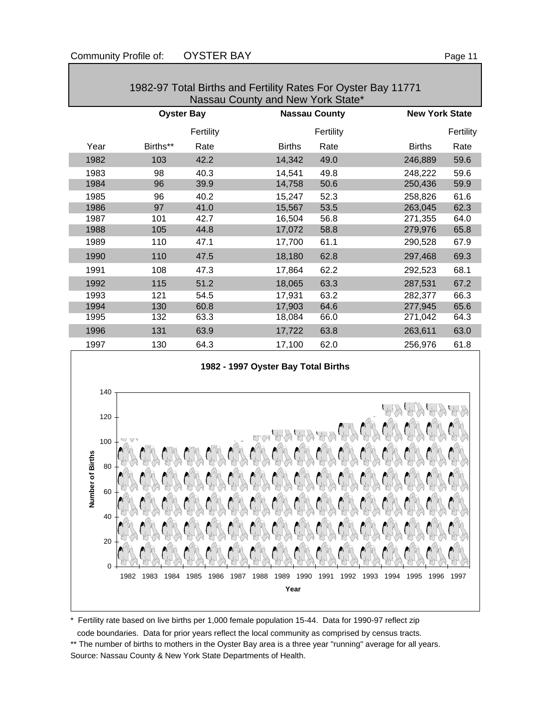| $1302$ or 10 km Dirtrio and 1 0 km ty rated from Oyotor Day 1177 is<br>Nassau County and New York State* |                   |           |                      |           |                       |           |  |  |
|----------------------------------------------------------------------------------------------------------|-------------------|-----------|----------------------|-----------|-----------------------|-----------|--|--|
|                                                                                                          | <b>Oyster Bay</b> |           | <b>Nassau County</b> |           | <b>New York State</b> |           |  |  |
|                                                                                                          |                   | Fertility |                      | Fertility |                       | Fertility |  |  |
| Year                                                                                                     | Births**          | Rate      | <b>Births</b>        | Rate      | <b>Births</b>         | Rate      |  |  |
| 1982                                                                                                     | 103               | 42.2      | 14,342               | 49.0      | 246,889               | 59.6      |  |  |
| 1983                                                                                                     | 98                | 40.3      | 14,541               | 49.8      | 248,222               | 59.6      |  |  |
| 1984                                                                                                     | 96                | 39.9      | 14,758               | 50.6      | 250,436               | 59.9      |  |  |
| 1985                                                                                                     | 96                | 40.2      | 15,247               | 52.3      | 258,826               | 61.6      |  |  |
| 1986                                                                                                     | 97                | 41.0      | 15,567               | 53.5      | 263,045               | 62.3      |  |  |
| 1987                                                                                                     | 101               | 42.7      | 16,504               | 56.8      | 271,355               | 64.0      |  |  |
| 1988                                                                                                     | 105               | 44.8      | 17,072               | 58.8      | 279,976               | 65.8      |  |  |
| 1989                                                                                                     | 110               | 47.1      | 17,700               | 61.1      | 290,528               | 67.9      |  |  |
| 1990                                                                                                     | 110               | 47.5      | 18,180               | 62.8      | 297,468               | 69.3      |  |  |
| 1991                                                                                                     | 108               | 47.3      | 17,864               | 62.2      | 292,523               | 68.1      |  |  |
| 1992                                                                                                     | 115               | 51.2      | 18,065               | 63.3      | 287,531               | 67.2      |  |  |
| 1993                                                                                                     | 121               | 54.5      | 17,931               | 63.2      | 282,377               | 66.3      |  |  |
| 1994                                                                                                     | 130               | 60.8      | 17,903               | 64.6      | 277,945               | 65.6      |  |  |
| 1995                                                                                                     | 132               | 63.3      | 18,084               | 66.0      | 271,042               | 64.3      |  |  |
| 1996                                                                                                     | 131               | 63.9      | 17,722               | 63.8      | 263,611               | 63.0      |  |  |
| 1997                                                                                                     | 130               | 64.3      | 17,100               | 62.0      | 256,976               | 61.8      |  |  |

1982-97 Total Births and Fertility Rates For Oyster Bay 11771





\* Fertility rate based on live births per 1,000 female population 15-44. Data for 1990-97 reflect zip

 code boundaries. Data for prior years reflect the local community as comprised by census tracts. \*\* The number of births to mothers in the Oyster Bay area is a three year "running" average for all years. Source: Nassau County & New York State Departments of Health.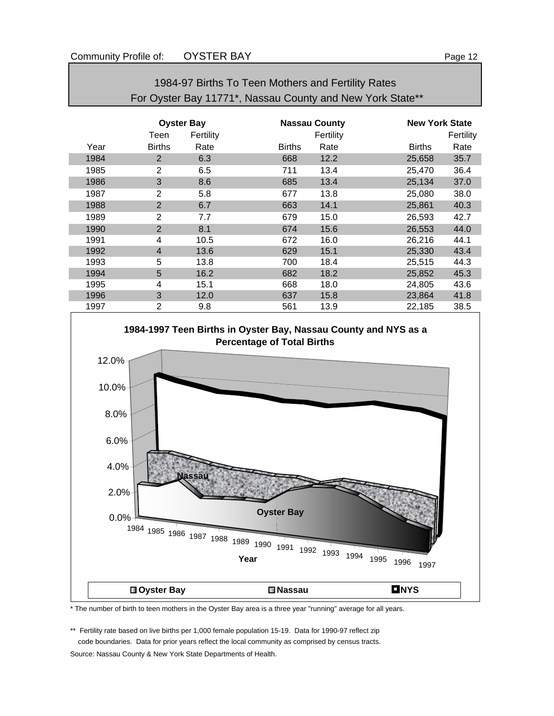| For Oyster Bay 11771*, Nassau County and New York State** |                   |           |               |                      |                       |           |  |
|-----------------------------------------------------------|-------------------|-----------|---------------|----------------------|-----------------------|-----------|--|
|                                                           | <b>Oyster Bay</b> |           |               | <b>Nassau County</b> | <b>New York State</b> |           |  |
|                                                           | Teen              | Fertility |               | Fertility            |                       | Fertility |  |
| Year                                                      | <b>Births</b>     | Rate      | <b>Births</b> | Rate                 | <b>Births</b>         | Rate      |  |
| 1984                                                      | 2                 | 6.3       | 668           | 12.2                 | 25,658                | 35.7      |  |
| 1985                                                      | $\overline{2}$    | 6.5       | 711           | 13.4                 | 25,470                | 36.4      |  |
| 1986                                                      | 3                 | 8.6       | 685           | 13.4                 | 25,134                | 37.0      |  |
| 1987                                                      | 2                 | 5.8       | 677           | 13.8                 | 25,080                | 38.0      |  |
| 1988                                                      | $\overline{2}$    | 6.7       | 663           | 14.1                 | 25,861                | 40.3      |  |
| 1989                                                      | $\overline{2}$    | 7.7       | 679           | 15.0                 | 26,593                | 42.7      |  |
| 1990                                                      | $\overline{2}$    | 8.1       | 674           | 15.6                 | 26,553                | 44.0      |  |
| 1991                                                      | 4                 | 10.5      | 672           | 16.0                 | 26,216                | 44.1      |  |
| 1992                                                      | $\overline{4}$    | 13.6      | 629           | 15.1                 | 25,330                | 43.4      |  |
| 1993                                                      | 5                 | 13.8      | 700           | 18.4                 | 25,515                | 44.3      |  |
| 1994                                                      | 5                 | 16.2      | 682           | 18.2                 | 25,852                | 45.3      |  |
| 1995                                                      | 4                 | 15.1      | 668           | 18.0                 | 24,805                | 43.6      |  |
| 1996                                                      | 3                 | 12.0      | 637           | 15.8                 | 23,864                | 41.8      |  |
| 1997                                                      | 2                 | 9.8       | 561           | 13.9                 | 22,185                | 38.5      |  |

1984-97 Births To Teen Mothers and Fertility Rates



\* The number of birth to teen mothers in the Oyster Bay area is a three year "running" average for all years.

\*\* Fertility rate based on live births per 1,000 female population 15-19. Data for 1990-97 reflect zip code boundaries. Data for prior years reflect the local community as comprised by census tracts.

Source: Nassau County & New York State Departments of Health.